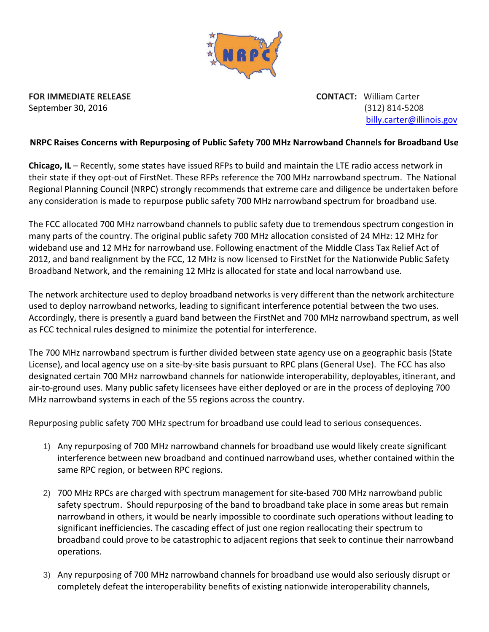

**FOR IMMEDIATE RELEASE CONTACT:** William Carter

September 30, 2016 (312) 814‐5208 billy.carter@illinois.gov

## **NRPC Raises Concerns with Repurposing of Public Safety 700 MHz Narrowband Channels for Broadband Use**

**Chicago, IL** – Recently, some states have issued RFPs to build and maintain the LTE radio access network in their state if they opt‐out of FirstNet. These RFPs reference the 700 MHz narrowband spectrum. The National Regional Planning Council (NRPC) strongly recommends that extreme care and diligence be undertaken before any consideration is made to repurpose public safety 700 MHz narrowband spectrum for broadband use.

The FCC allocated 700 MHz narrowband channels to public safety due to tremendous spectrum congestion in many parts of the country. The original public safety 700 MHz allocation consisted of 24 MHz: 12 MHz for wideband use and 12 MHz for narrowband use. Following enactment of the Middle Class Tax Relief Act of 2012, and band realignment by the FCC, 12 MHz is now licensed to FirstNet for the Nationwide Public Safety Broadband Network, and the remaining 12 MHz is allocated for state and local narrowband use.

The network architecture used to deploy broadband networks is very different than the network architecture used to deploy narrowband networks, leading to significant interference potential between the two uses. Accordingly, there is presently a guard band between the FirstNet and 700 MHz narrowband spectrum, as well as FCC technical rules designed to minimize the potential for interference.

The 700 MHz narrowband spectrum is further divided between state agency use on a geographic basis (State License), and local agency use on a site‐by‐site basis pursuant to RPC plans (General Use). The FCC has also designated certain 700 MHz narrowband channels for nationwide interoperability, deployables, itinerant, and air-to-ground uses. Many public safety licensees have either deployed or are in the process of deploying 700 MHz narrowband systems in each of the 55 regions across the country.

Repurposing public safety 700 MHz spectrum for broadband use could lead to serious consequences.

- 1) Any repurposing of 700 MHz narrowband channels for broadband use would likely create significant interference between new broadband and continued narrowband uses, whether contained within the same RPC region, or between RPC regions.
- 2) 700 MHz RPCs are charged with spectrum management for site-based 700 MHz narrowband public safety spectrum. Should repurposing of the band to broadband take place in some areas but remain narrowband in others, it would be nearly impossible to coordinate such operations without leading to significant inefficiencies. The cascading effect of just one region reallocating their spectrum to broadband could prove to be catastrophic to adjacent regions that seek to continue their narrowband operations.
- 3) Any repurposing of 700 MHz narrowband channels for broadband use would also seriously disrupt or completely defeat the interoperability benefits of existing nationwide interoperability channels,